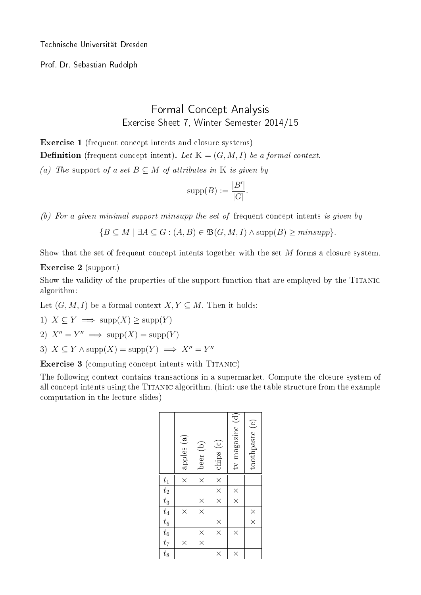Technische Universität Dresden

Prof. Dr. Sebastian Rudolph

## Formal Concept Analysis Exercise Sheet 7, Winter Semester 2014/15

Exercise 1 (frequent concept intents and closure systems)

**Definition** (frequent concept intent). Let  $\mathbb{K} = (G, M, I)$  be a formal context.

(a) The support of a set  $B \subseteq M$  of attributes in K is given by

$$
\mathrm{supp}(B) := \frac{|B'|}{|G|}.
$$

(b) For a given minimal support minsupp the set of frequent concept intents is given by

 ${B \subseteq M \mid \exists A \subseteq G : (A, B) \in \mathfrak{B}(G, M, I) \land \text{supp}(B) \geq minsupp}.$ 

Show that the set of frequent concept intents together with the set  $M$  forms a closure system.

## Exercise 2 (support)

Show the validity of the properties of the support function that are employed by the TITANIC algorithm:

Let  $(G, M, I)$  be a formal context  $X, Y \subseteq M$ . Then it holds:

- 1)  $X \subseteq Y \implies \text{supp}(X) \ge \text{supp}(Y)$
- 2)  $X'' = Y'' \implies \text{supp}(X) = \text{supp}(Y)$
- 3)  $X \subseteq Y \wedge \text{supp}(X) = \text{supp}(Y) \implies X'' = Y''$

Exercise 3 (computing concept intents with TITANIC)

The following context contains transactions in a supermarket. Compute the closure system of all concept intents using the Titanic algorithm. (hint: use the table structure from the example computation in the lecture slides)

|                                                                                   | apples (a)         | $\times$   beer (b)     | $\times$ $\times$ $\times$ daips (c) | tv magazine (d)      | toothpaste (e)          |
|-----------------------------------------------------------------------------------|--------------------|-------------------------|--------------------------------------|----------------------|-------------------------|
|                                                                                   | $\frac{1}{\times}$ |                         |                                      |                      |                         |
|                                                                                   |                    |                         |                                      | $\times$<br>$\times$ |                         |
|                                                                                   |                    | $\frac{\times}{\times}$ |                                      |                      |                         |
|                                                                                   | $\times$           |                         |                                      |                      |                         |
|                                                                                   |                    |                         | $\frac{x}{x}$                        |                      | $\frac{\times}{\times}$ |
|                                                                                   |                    | $\frac{\times}{\times}$ |                                      | $\times$             |                         |
| $\frac{t_1}{t_2} \frac{t_2}{t_3} \frac{t_4}{t_4} \frac{t_5}{t_6} \frac{t_6}{t_7}$ | $\times$           |                         |                                      |                      |                         |
|                                                                                   |                    |                         | $\times$                             | $\times$             |                         |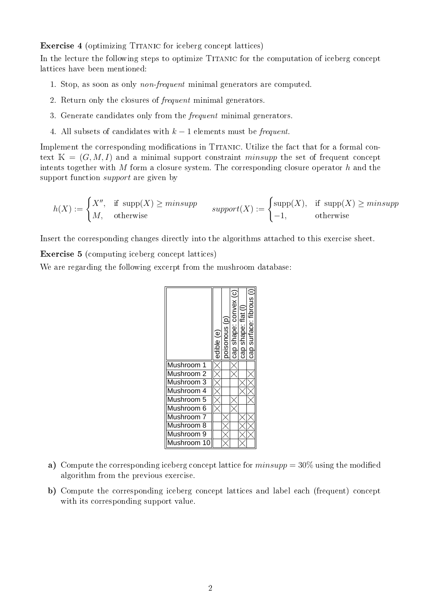Exercise 4 (optimizing Titanic for iceberg concept lattices)

In the lecture the following steps to optimize Titanic for the computation of iceberg concept lattices have been mentioned:

- 1. Stop, as soon as only non-frequent minimal generators are computed.
- 2. Return only the closures of frequent minimal generators.
- 3. Generate candidates only from the frequent minimal generators.
- 4. All subsets of candidates with  $k-1$  elements must be *frequent*.

Implement the corresponding modifications in TITANIC. Utilize the fact that for a formal context  $\mathbb{K} = (G, M, I)$  and a minimal support constraint minsupp the set of frequent concept intents together with M form a closure system. The corresponding closure operator h and the support function *support* are given by

$$
h(X) := \begin{cases} X'' , & \text{if } \text{supp}(X) \geq minsupp \\ M , & \text{otherwise} \end{cases} \quad supp(X) := \begin{cases} \text{supp}(X) , & \text{if } \text{supp}(X) \geq minsupp \\ -1 , & \text{otherwise} \end{cases}
$$

Insert the corresponding changes directly into the algorithms attached to this exercise sheet.

Exercise 5 (computing iceberg concept lattices)

We are regarding the following excerpt from the mushroom database:



- a) Compute the corresponding iceberg concept lattice for  $minsupp = 30\%$  using the modified algorithm from the previous exercise.
- b) Compute the corresponding iceberg concept lattices and label each (frequent) concept with its corresponding support value.